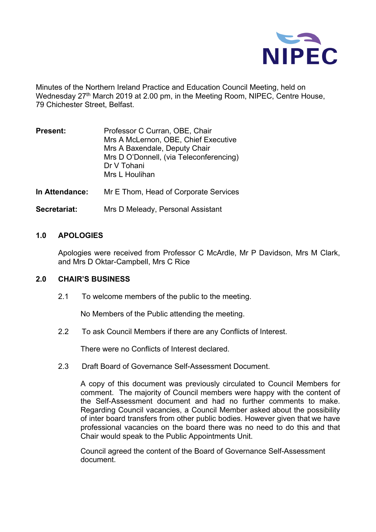

Minutes of the Northern Ireland Practice and Education Council Meeting, held on Wednesday 27<sup>th</sup> March 2019 at 2.00 pm, in the Meeting Room, NIPEC, Centre House, 79 Chichester Street, Belfast.

| Professor C Curran, OBE, Chair<br>Mrs A McLernon, OBE, Chief Executive |
|------------------------------------------------------------------------|
| Mrs A Baxendale, Deputy Chair                                          |
| Mrs D O'Donnell, (via Teleconferencing)                                |
| Dr V Tohani                                                            |
| Mrs L Houlihan                                                         |
|                                                                        |

**In Attendance:** Mr E Thom, Head of Corporate Services

**Secretariat:** Mrs D Meleady, Personal Assistant

#### **1.0 APOLOGIES**

Apologies were received from Professor C McArdle, Mr P Davidson, Mrs M Clark, and Mrs D Oktar-Campbell, Mrs C Rice

#### **2.0 CHAIR'S BUSINESS**

2.1 To welcome members of the public to the meeting.

No Members of the Public attending the meeting.

2.2 To ask Council Members if there are any Conflicts of Interest.

There were no Conflicts of Interest declared.

2.3 Draft Board of Governance Self-Assessment Document.

A copy of this document was previously circulated to Council Members for comment. The majority of Council members were happy with the content of the Self-Assessment document and had no further comments to make. Regarding Council vacancies, a Council Member asked about the possibility of inter board transfers from other public bodies. However given that we have professional vacancies on the board there was no need to do this and that Chair would speak to the Public Appointments Unit.

Council agreed the content of the Board of Governance Self-Assessment document.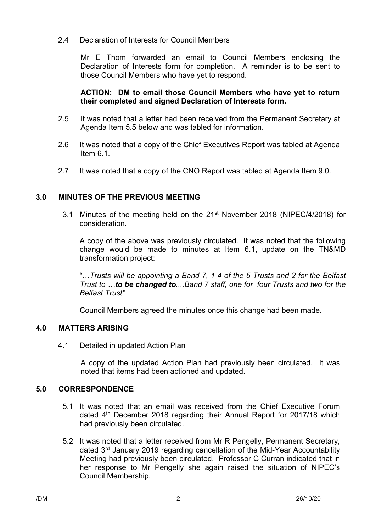### 2.4 Declaration of Interests for Council Members

Mr E Thom forwarded an email to Council Members enclosing the Declaration of Interests form for completion. A reminder is to be sent to those Council Members who have yet to respond.

### **ACTION: DM to email those Council Members who have yet to return their completed and signed Declaration of Interests form.**

- 2.5 It was noted that a letter had been received from the Permanent Secretary at Agenda Item 5.5 below and was tabled for information.
- 2.6 It was noted that a copy of the Chief Executives Report was tabled at Agenda Item 6.1.
- 2.7 It was noted that a copy of the CNO Report was tabled at Agenda Item 9.0.

# **3.0 MINUTES OF THE PREVIOUS MEETING**

3.1 Minutes of the meeting held on the 21<sup>st</sup> November 2018 (NIPEC/4/2018) for consideration.

A copy of the above was previously circulated. It was noted that the following change would be made to minutes at Item 6.1, update on the TN&MD transformation project:

"…*Trusts will be appointing a Band 7, 1 4 of the 5 Trusts and 2 for the Belfast Trust to …to be changed to....Band 7 staff, one for four Trusts and two for the Belfast Trust"*

Council Members agreed the minutes once this change had been made.

### **4.0 MATTERS ARISING**

4.1 Detailed in updated Action Plan

A copy of the updated Action Plan had previously been circulated. It was noted that items had been actioned and updated.

### **5.0 CORRESPONDENCE**

- 5.1 It was noted that an email was received from the Chief Executive Forum dated 4<sup>th</sup> December 2018 regarding their Annual Report for 2017/18 which had previously been circulated.
- 5.2 It was noted that a letter received from Mr R Pengelly, Permanent Secretary, dated 3rd January 2019 regarding cancellation of the Mid-Year Accountability Meeting had previously been circulated. Professor C Curran indicated that in her response to Mr Pengelly she again raised the situation of NIPEC's Council Membership.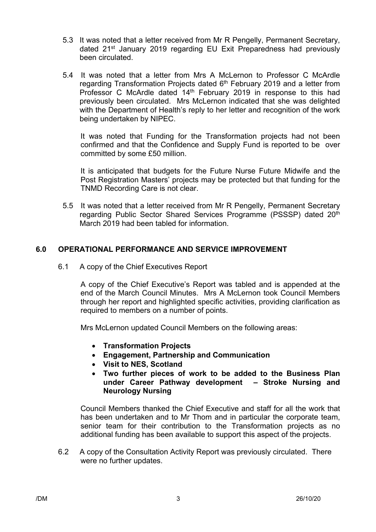- 5.3 It was noted that a letter received from Mr R Pengelly, Permanent Secretary, dated 21<sup>st</sup> January 2019 regarding EU Exit Preparedness had previously been circulated.
- 5.4 It was noted that a letter from Mrs A McLernon to Professor C McArdle regarding Transformation Projects dated 6<sup>th</sup> February 2019 and a letter from Professor C McArdle dated 14<sup>th</sup> February 2019 in response to this had previously been circulated. Mrs McLernon indicated that she was delighted with the Department of Health's reply to her letter and recognition of the work being undertaken by NIPEC.

It was noted that Funding for the Transformation projects had not been confirmed and that the Confidence and Supply Fund is reported to be over committed by some £50 million.

It is anticipated that budgets for the Future Nurse Future Midwife and the Post Registration Masters' projects may be protected but that funding for the TNMD Recording Care is not clear.

5.5It was noted that a letter received from Mr R Pengelly, Permanent Secretary regarding Public Sector Shared Services Programme (PSSSP) dated 20<sup>th</sup> March 2019 had been tabled for information.

# **6.0 OPERATIONAL PERFORMANCE AND SERVICE IMPROVEMENT**

6.1 A copy of the Chief Executives Report

A copy of the Chief Executive's Report was tabled and is appended at the end of the March Council Minutes. Mrs A McLernon took Council Members through her report and highlighted specific activities, providing clarification as required to members on a number of points.

Mrs McLernon updated Council Members on the following areas:

- **Transformation Projects**
- **Engagement, Partnership and Communication**
- **Visit to NES, Scotland**
- **Two further pieces of work to be added to the Business Plan under Career Pathway development – Stroke Nursing and Neurology Nursing**

Council Members thanked the Chief Executive and staff for all the work that has been undertaken and to Mr Thom and in particular the corporate team, senior team for their contribution to the Transformation projects as no additional funding has been available to support this aspect of the projects.

6.2 A copy of the Consultation Activity Report was previously circulated. There were no further updates.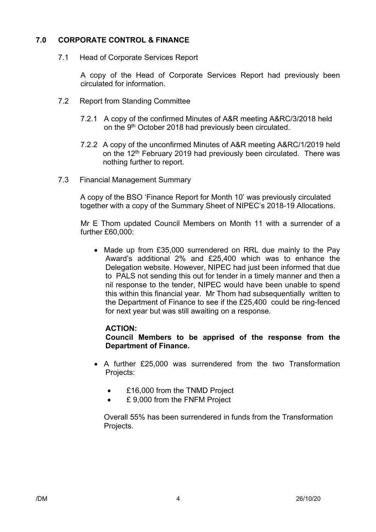# **7.0 CORPORATE CONTROL & FINANCE**

7.1 Head of Corporate Services Report

A copy of the Head of Corporate Services Report had previously been circulated for information.

- 7.2 Report from Standing Committee
	- 7.2.1 A copy of the confirmed Minutes of A&R meeting A&RC/3/2018 held on the 9<sup>th</sup> October 2018 had previously been circulated.
	- 7.2.2 A copy of the unconfirmed Minutes of A&R meeting A&RC/1/2019 held on the 12<sup>th</sup> February 2019 had previously been circulated. There was nothing further to report.
- 7.3 Financial Management Summary

 A copy of the BSO 'Finance Report for Month 10' was previously circulated together with a copy of the Summary Sheet of NIPEC's 2018-19 Allocations.

Mr E Thom updated Council Members on Month 11 with a surrender of a further £60,000:

• Made up from £35,000 surrendered on RRL due mainly to the Pay Award's additional 2% and £25,400 which was to enhance the Delegation website. However, NIPEC had just been informed that due to PALS not sending this out for tender in a timely manner and then a nil response to the tender, NIPEC would have been unable to spend this within this financial year. Mr Thom had subsequentially written to the Department of Finance to see if the £25,400 could be ring-fenced for next year but was still awaiting on a response.

### **ACTION:**

**Council Members to be apprised of the response from the Department of Finance.**

- A further £25,000 was surrendered from the two Transformation Projects:
	- £16,000 from the TNMD Project
	- £ 9.000 from the FNFM Project

Overall 55% has been surrendered in funds from the Transformation Projects.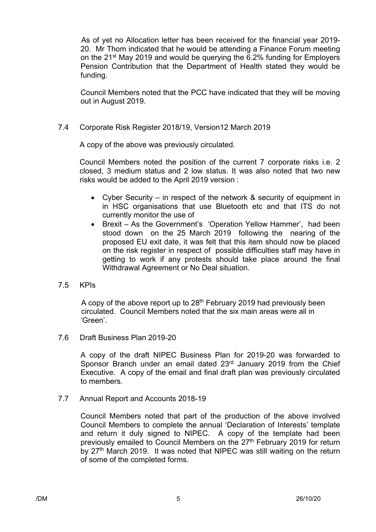As of yet no Allocation letter has been received for the financial year 2019- 20. Mr Thom indicated that he would be attending a Finance Forum meeting on the 21st May 2019 and would be querying the 6.2% funding for Employers Pension Contribution that the Department of Health stated they would be funding.

Council Members noted that the PCC have indicated that they will be moving out in August 2019.

### 7.4 Corporate Risk Register 2018/19, Version12 March 2019

A copy of the above was previously circulated.

Council Members noted the position of the current 7 corporate risks i.e. 2 closed, 3 medium status and 2 low status. It was also noted that two new risks would be added to the April 2019 version :

- Cyber Security in respect of the network & security of equipment in in HSC organisations that use Bluetooth etc and that ITS do not currently monitor the use of
- Brexit As the Government's 'Operation Yellow Hammer', had been stood down on the 25 March 2019 following the nearing of the proposed EU exit date, it was felt that this item should now be placed on the risk register in respect of possible difficulties staff may have in getting to work if any protests should take place around the final Withdrawal Agreement or No Deal situation.

### 7.5 KPIs

A copy of the above report up to 28<sup>th</sup> February 2019 had previously been circulated. Council Members noted that the six main areas were all in 'Green'.

7.6 Draft Business Plan 2019-20

A copy of the draft NIPEC Business Plan for 2019-20 was forwarded to Sponsor Branch under an email dated 23<sup>rd</sup> January 2019 from the Chief Executive. A copy of the email and final draft plan was previously circulated to members.

7.7 Annual Report and Accounts 2018-19

Council Members noted that part of the production of the above involved Council Members to complete the annual 'Declaration of Interests' template and return it duly signed to NIPEC. A copy of the template had been previously emailed to Council Members on the 27<sup>th</sup> February 2019 for return by 27<sup>th</sup> March 2019. It was noted that NIPEC was still waiting on the return of some of the completed forms.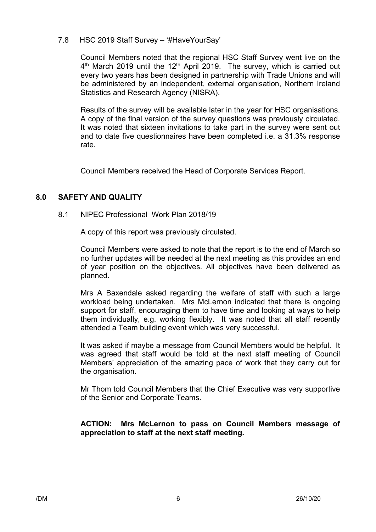### 7.8 HSC 2019 Staff Survey – '#HaveYourSay'

Council Members noted that the regional HSC Staff Survey went live on the  $4<sup>th</sup>$  March 2019 until the 12<sup>th</sup> April 2019. The survey, which is carried out every two years has been designed in partnership with Trade Unions and will be administered by an independent, external organisation, Northern Ireland Statistics and Research Agency (NISRA).

Results of the survey will be available later in the year for HSC organisations. A copy of the final version of the survey questions was previously circulated. It was noted that sixteen invitations to take part in the survey were sent out and to date five questionnaires have been completed i.e. a 31.3% response rate.

Council Members received the Head of Corporate Services Report.

# **8.0 SAFETY AND QUALITY**

### 8.1 NIPEC Professional Work Plan 2018/19

A copy of this report was previously circulated.

Council Members were asked to note that the report is to the end of March so no further updates will be needed at the next meeting as this provides an end of year position on the objectives. All objectives have been delivered as planned.

Mrs A Baxendale asked regarding the welfare of staff with such a large workload being undertaken. Mrs McLernon indicated that there is ongoing support for staff, encouraging them to have time and looking at ways to help them individually, e.g. working flexibly. It was noted that all staff recently attended a Team building event which was very successful.

It was asked if maybe a message from Council Members would be helpful. It was agreed that staff would be told at the next staff meeting of Council Members' appreciation of the amazing pace of work that they carry out for the organisation.

Mr Thom told Council Members that the Chief Executive was very supportive of the Senior and Corporate Teams.

# **ACTION: Mrs McLernon to pass on Council Members message of appreciation to staff at the next staff meeting.**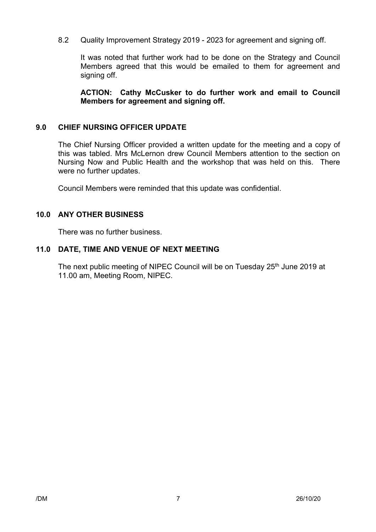8.2 Quality Improvement Strategy 2019 - 2023 for agreement and signing off.

It was noted that further work had to be done on the Strategy and Council Members agreed that this would be emailed to them for agreement and signing off.

**ACTION: Cathy McCusker to do further work and email to Council Members for agreement and signing off.**

### **9.0 CHIEF NURSING OFFICER UPDATE**

The Chief Nursing Officer provided a written update for the meeting and a copy of this was tabled. Mrs McLernon drew Council Members attention to the section on Nursing Now and Public Health and the workshop that was held on this. There were no further updates.

Council Members were reminded that this update was confidential.

### **10.0 ANY OTHER BUSINESS**

There was no further business.

### **11.0 DATE, TIME AND VENUE OF NEXT MEETING**

The next public meeting of NIPEC Council will be on Tuesday 25<sup>th</sup> June 2019 at 11.00 am, Meeting Room, NIPEC.